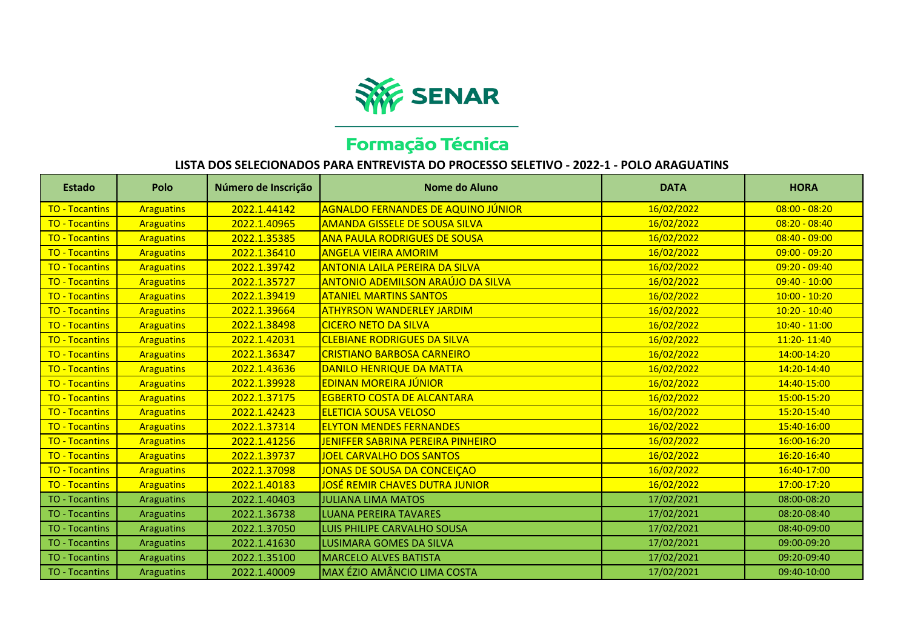

## Formação Técnica

## **LISTA DOS SELECIONADOS PARA ENTREVISTA DO PROCESSO SELETIVO - 2022-1 - POLO ARAGUATINS**

| Estado                | Polo              | Número de Inscrição | Nome do Aluno                             | <b>DATA</b> | <b>HORA</b>     |
|-----------------------|-------------------|---------------------|-------------------------------------------|-------------|-----------------|
| <b>TO - Tocantins</b> | <b>Araguatins</b> | 2022.1.44142        | <b>AGNALDO FERNANDES DE AQUINO JÚNIOR</b> | 16/02/2022  | $08:00 - 08:20$ |
| <b>TO - Tocantins</b> | <b>Araguatins</b> | 2022.1.40965        | <b>AMANDA GISSELE DE SOUSA SILVA</b>      | 16/02/2022  | $08:20 - 08:40$ |
| <b>TO - Tocantins</b> | <b>Araguatins</b> | 2022.1.35385        | <b>ANA PAULA RODRIGUES DE SOUSA</b>       | 16/02/2022  | $08:40 - 09:00$ |
| <b>TO - Tocantins</b> | <b>Araguatins</b> | 2022.1.36410        | <b>ANGELA VIEIRA AMORIM</b>               | 16/02/2022  | $09:00 - 09:20$ |
| <b>TO - Tocantins</b> | <b>Araguatins</b> | 2022.1.39742        | <b>ANTONIA LAILA PEREIRA DA SILVA</b>     | 16/02/2022  | $09:20 - 09:40$ |
| <b>TO - Tocantins</b> | <b>Araguatins</b> | 2022.1.35727        | <b>ANTONIO ADEMILSON ARAÚJO DA SILVA</b>  | 16/02/2022  | $09:40 - 10:00$ |
| <b>TO - Tocantins</b> | <b>Araguatins</b> | 2022.1.39419        | <b>ATANIEL MARTINS SANTOS</b>             | 16/02/2022  | $10:00 - 10:20$ |
| <b>TO - Tocantins</b> | <b>Araguatins</b> | 2022.1.39664        | <b>ATHYRSON WANDERLEY JARDIM</b>          | 16/02/2022  | $10:20 - 10:40$ |
| <b>TO - Tocantins</b> | <b>Araguatins</b> | 2022.1.38498        | <b>CICERO NETO DA SILVA</b>               | 16/02/2022  | $10:40 - 11:00$ |
| <b>TO - Tocantins</b> | <b>Araguatins</b> | 2022.1.42031        | <b>CLEBIANE RODRIGUES DA SILVA</b>        | 16/02/2022  | 11:20-11:40     |
| <b>TO - Tocantins</b> | <b>Araguatins</b> | 2022.1.36347        | <b>CRISTIANO BARBOSA CARNEIRO</b>         | 16/02/2022  | 14:00-14:20     |
| <b>TO - Tocantins</b> | <b>Araguatins</b> | 2022.1.43636        | <b>DANILO HENRIQUE DA MATTA</b>           | 16/02/2022  | 14:20-14:40     |
| <b>TO - Tocantins</b> | <b>Araguatins</b> | 2022.1.39928        | <b>EDINAN MOREIRA JÚNIOR</b>              | 16/02/2022  | 14:40-15:00     |
| <b>TO - Tocantins</b> | <b>Araguatins</b> | 2022.1.37175        | <b>EGBERTO COSTA DE ALCANTARA</b>         | 16/02/2022  | 15:00-15:20     |
| <b>TO - Tocantins</b> | <b>Araguatins</b> | 2022.1.42423        | <b>ELETICIA SOUSA VELOSO</b>              | 16/02/2022  | 15:20-15:40     |
| <b>TO - Tocantins</b> | <b>Araguatins</b> | 2022.1.37314        | <b>ELYTON MENDES FERNANDES</b>            | 16/02/2022  | 15:40-16:00     |
| <b>TO - Tocantins</b> | <b>Araguatins</b> | 2022.1.41256        | JENIFFER SABRINA PEREIRA PINHEIRO         | 16/02/2022  | 16:00-16:20     |
| <b>TO - Tocantins</b> | <b>Araguatins</b> | 2022.1.39737        | <b>JOEL CARVALHO DOS SANTOS</b>           | 16/02/2022  | 16:20-16:40     |
| <b>TO - Tocantins</b> | <b>Araguatins</b> | 2022.1.37098        | <b>JONAS DE SOUSA DA CONCEIÇAO</b>        | 16/02/2022  | 16:40-17:00     |
| <b>TO - Tocantins</b> | <b>Araguatins</b> | 2022.1.40183        | <u>JOSÉ REMIR CHAVES DUTRA JUNIOR</u>     | 16/02/2022  | 17:00-17:20     |
| <b>TO - Tocantins</b> | <b>Araguatins</b> | 2022.1.40403        | <b>JULIANA LIMA MATOS</b>                 | 17/02/2021  | 08:00-08:20     |
| TO - Tocantins        | <b>Araguatins</b> | 2022.1.36738        | <b>LUANA PEREIRA TAVARES</b>              | 17/02/2021  | 08:20-08:40     |
| <b>TO - Tocantins</b> | <b>Araguatins</b> | 2022.1.37050        | LUIS PHILIPE CARVALHO SOUSA               | 17/02/2021  | 08:40-09:00     |
| <b>TO - Tocantins</b> | Araguatins        | 2022.1.41630        | <b>LUSIMARA GOMES DA SILVA</b>            | 17/02/2021  | 09:00-09:20     |
| <b>TO - Tocantins</b> | <b>Araguatins</b> | 2022.1.35100        | <b>MARCELO ALVES BATISTA</b>              | 17/02/2021  | 09:20-09:40     |
| <b>TO - Tocantins</b> | <b>Araguatins</b> | 2022.1.40009        | MAX ÉZIO AMÂNCIO LIMA COSTA               | 17/02/2021  | 09:40-10:00     |